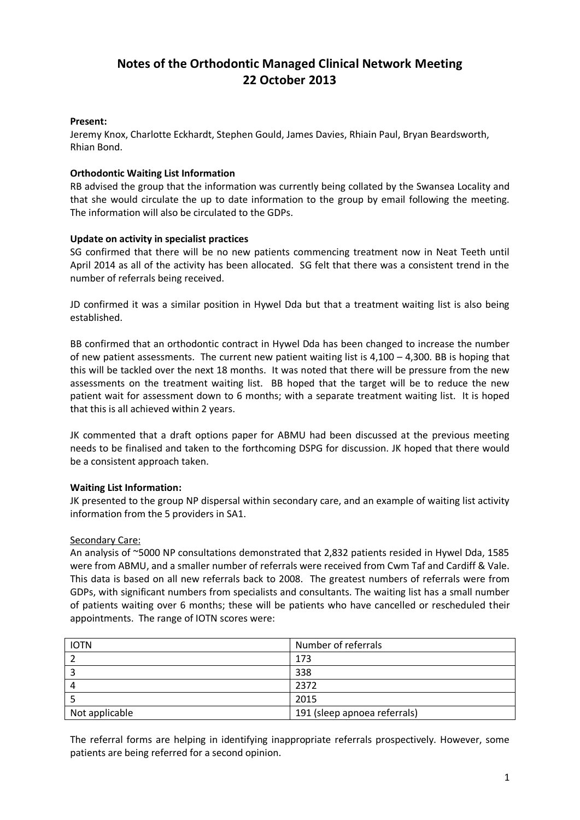# **Notes of the Orthodontic Managed Clinical Network Meeting 22 October 2013**

## **Present:**

Jeremy Knox, Charlotte Eckhardt, Stephen Gould, James Davies, Rhiain Paul, Bryan Beardsworth, Rhian Bond.

#### **Orthodontic Waiting List Information**

RB advised the group that the information was currently being collated by the Swansea Locality and that she would circulate the up to date information to the group by email following the meeting. The information will also be circulated to the GDPs.

#### **Update on activity in specialist practices**

SG confirmed that there will be no new patients commencing treatment now in Neat Teeth until April 2014 as all of the activity has been allocated. SG felt that there was a consistent trend in the number of referrals being received.

JD confirmed it was a similar position in Hywel Dda but that a treatment waiting list is also being established.

BB confirmed that an orthodontic contract in Hywel Dda has been changed to increase the number of new patient assessments. The current new patient waiting list is 4,100 – 4,300. BB is hoping that this will be tackled over the next 18 months. It was noted that there will be pressure from the new assessments on the treatment waiting list. BB hoped that the target will be to reduce the new patient wait for assessment down to 6 months; with a separate treatment waiting list. It is hoped that this is all achieved within 2 years.

JK commented that a draft options paper for ABMU had been discussed at the previous meeting needs to be finalised and taken to the forthcoming DSPG for discussion. JK hoped that there would be a consistent approach taken.

# **Waiting List Information:**

JK presented to the group NP dispersal within secondary care, and an example of waiting list activity information from the 5 providers in SA1.

#### Secondary Care:

An analysis of ~5000 NP consultations demonstrated that 2,832 patients resided in Hywel Dda, 1585 were from ABMU, and a smaller number of referrals were received from Cwm Taf and Cardiff & Vale. This data is based on all new referrals back to 2008. The greatest numbers of referrals were from GDPs, with significant numbers from specialists and consultants. The waiting list has a small number of patients waiting over 6 months; these will be patients who have cancelled or rescheduled their appointments. The range of IOTN scores were:

| <b>IOTN</b>    | Number of referrals          |
|----------------|------------------------------|
|                | 173                          |
|                | 338                          |
| 4              | 2372                         |
|                | 2015                         |
| Not applicable | 191 (sleep apnoea referrals) |

The referral forms are helping in identifying inappropriate referrals prospectively. However, some patients are being referred for a second opinion.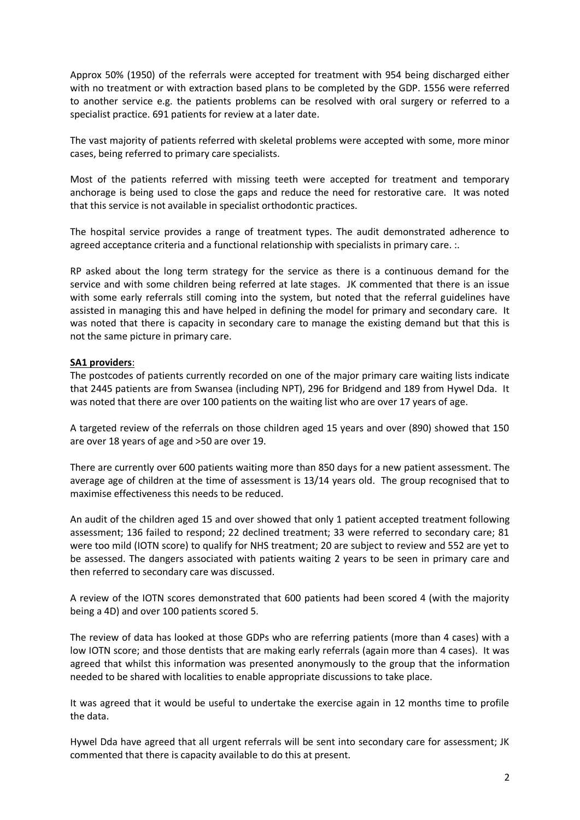Approx 50% (1950) of the referrals were accepted for treatment with 954 being discharged either with no treatment or with extraction based plans to be completed by the GDP. 1556 were referred to another service e.g. the patients problems can be resolved with oral surgery or referred to a specialist practice. 691 patients for review at a later date.

The vast majority of patients referred with skeletal problems were accepted with some, more minor cases, being referred to primary care specialists.

Most of the patients referred with missing teeth were accepted for treatment and temporary anchorage is being used to close the gaps and reduce the need for restorative care. It was noted that this service is not available in specialist orthodontic practices.

The hospital service provides a range of treatment types. The audit demonstrated adherence to agreed acceptance criteria and a functional relationship with specialists in primary care. :.

RP asked about the long term strategy for the service as there is a continuous demand for the service and with some children being referred at late stages. JK commented that there is an issue with some early referrals still coming into the system, but noted that the referral guidelines have assisted in managing this and have helped in defining the model for primary and secondary care. It was noted that there is capacity in secondary care to manage the existing demand but that this is not the same picture in primary care.

#### **SA1 providers**:

The postcodes of patients currently recorded on one of the major primary care waiting lists indicate that 2445 patients are from Swansea (including NPT), 296 for Bridgend and 189 from Hywel Dda. It was noted that there are over 100 patients on the waiting list who are over 17 years of age.

A targeted review of the referrals on those children aged 15 years and over (890) showed that 150 are over 18 years of age and >50 are over 19.

There are currently over 600 patients waiting more than 850 days for a new patient assessment. The average age of children at the time of assessment is 13/14 years old. The group recognised that to maximise effectiveness this needs to be reduced.

An audit of the children aged 15 and over showed that only 1 patient accepted treatment following assessment; 136 failed to respond; 22 declined treatment; 33 were referred to secondary care; 81 were too mild (IOTN score) to qualify for NHS treatment; 20 are subject to review and 552 are yet to be assessed. The dangers associated with patients waiting 2 years to be seen in primary care and then referred to secondary care was discussed.

A review of the IOTN scores demonstrated that 600 patients had been scored 4 (with the majority being a 4D) and over 100 patients scored 5.

The review of data has looked at those GDPs who are referring patients (more than 4 cases) with a low IOTN score; and those dentists that are making early referrals (again more than 4 cases). It was agreed that whilst this information was presented anonymously to the group that the information needed to be shared with localities to enable appropriate discussions to take place.

It was agreed that it would be useful to undertake the exercise again in 12 months time to profile the data.

Hywel Dda have agreed that all urgent referrals will be sent into secondary care for assessment; JK commented that there is capacity available to do this at present.